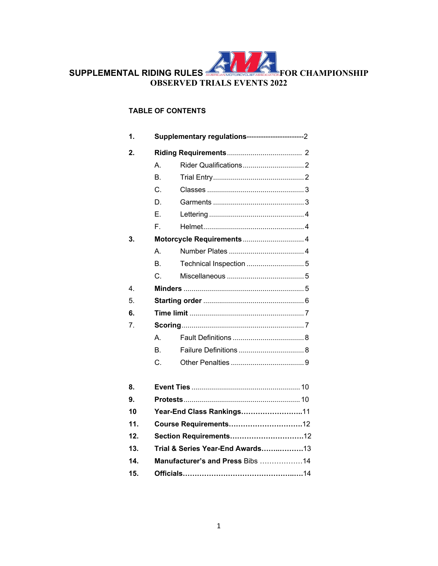

## **TABLE OF CONTENTS**

| 1.  |                                  |                         |  |  |
|-----|----------------------------------|-------------------------|--|--|
| 2.  |                                  |                         |  |  |
|     | A.                               |                         |  |  |
|     | <b>B.</b>                        |                         |  |  |
|     | C.                               |                         |  |  |
|     | D.                               |                         |  |  |
|     | Е.                               |                         |  |  |
|     | F.                               |                         |  |  |
| 3.  |                                  |                         |  |  |
|     | A                                |                         |  |  |
|     | B.                               | Technical Inspection  5 |  |  |
|     | $C_{-}$                          |                         |  |  |
| 4.  |                                  |                         |  |  |
| 5.  |                                  |                         |  |  |
| 6.  |                                  |                         |  |  |
| 7.  |                                  |                         |  |  |
|     | A                                |                         |  |  |
|     | В.                               |                         |  |  |
|     | C.                               |                         |  |  |
|     |                                  |                         |  |  |
| 8.  |                                  |                         |  |  |
| 9.  |                                  |                         |  |  |
| 10  | Year-End Class Rankings11        |                         |  |  |
| 11. | Course Requirements12            |                         |  |  |
| 12. | Section Requirements12           |                         |  |  |
| 13. | Trial & Series Year-End Awards13 |                         |  |  |
| 14. | Manufacturer's and Press Bibs 14 |                         |  |  |
| 15. |                                  |                         |  |  |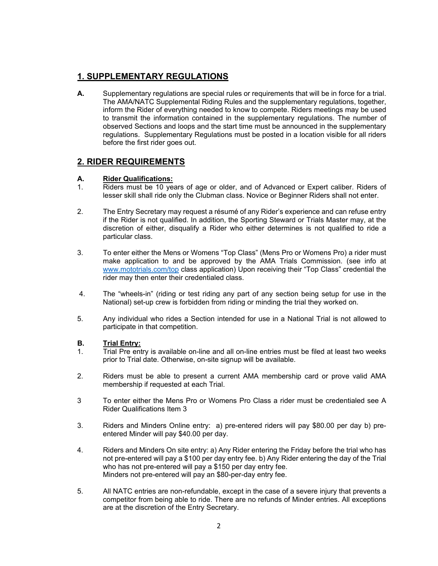# **1. SUPPLEMENTARY REGULATIONS**

**A.** Supplementary regulations are special rules or requirements that will be in force for a trial. The AMA/NATC Supplemental Riding Rules and the supplementary regulations, together, inform the Rider of everything needed to know to compete. Riders meetings may be used to transmit the information contained in the supplementary regulations. The number of observed Sections and loops and the start time must be announced in the supplementary regulations. Supplementary Regulations must be posted in a location visible for all riders before the first rider goes out.

## **2. RIDER REQUIREMENTS**

### **A. Rider Qualifications:**

- 1. Riders must be 10 years of age or older, and of Advanced or Expert caliber. Riders of lesser skill shall ride only the Clubman class. Novice or Beginner Riders shall not enter.
- 2. The Entry Secretary may request a résumé of any Rider's experience and can refuse entry if the Rider is not qualified. In addition, the Sporting Steward or Trials Master may, at the discretion of either, disqualify a Rider who either determines is not qualified to ride a particular class.
- 3. To enter either the Mens or Womens "Top Class" (Mens Pro or Womens Pro) a rider must make application to and be approved by the AMA Trials Commission. (see info at www.mototrials.com/top class application) Upon receiving their "Top Class" credential the rider may then enter their credentialed class.
- 4. The "wheels-in" (riding or test riding any part of any section being setup for use in the National) set-up crew is forbidden from riding or minding the trial they worked on.
- 5. Any individual who rides a Section intended for use in a National Trial is not allowed to participate in that competition.

### **B. Trial Entry:**

- 1. Trial Pre entry is available on-line and all on-line entries must be filed at least two weeks prior to Trial date. Otherwise, on-site signup will be available.
- 2. Riders must be able to present a current AMA membership card or prove valid AMA membership if requested at each Trial.
- 3 To enter either the Mens Pro or Womens Pro Class a rider must be credentialed see A Rider Qualifications Item 3
- 3. Riders and Minders Online entry: a) pre-entered riders will pay \$80.00 per day b) preentered Minder will pay \$40.00 per day.
- 4. Riders and Minders On site entry: a) Any Rider entering the Friday before the trial who has not pre-entered will pay a \$100 per day entry fee. b) Any Rider entering the day of the Trial who has not pre-entered will pay a \$150 per day entry fee. Minders not pre-entered will pay an \$80-per-day entry fee.
- 5. All NATC entries are non-refundable, except in the case of a severe injury that prevents a competitor from being able to ride. There are no refunds of Minder entries. All exceptions are at the discretion of the Entry Secretary.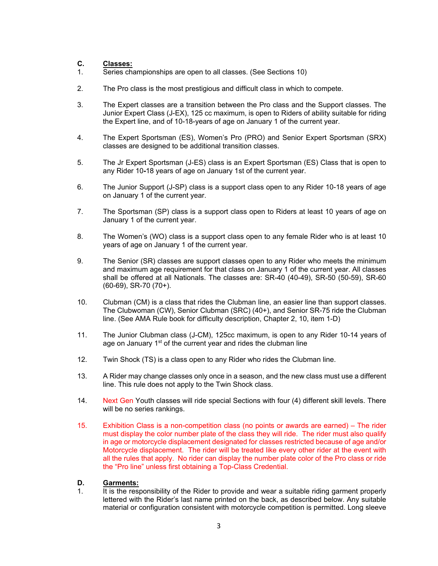### **C. Classes:**

- 1. Series championships are open to all classes. (See Sections 10)
- 2. The Pro class is the most prestigious and difficult class in which to compete.
- 3. The Expert classes are a transition between the Pro class and the Support classes. The Junior Expert Class (J-EX), 125 cc maximum, is open to Riders of ability suitable for riding the Expert line, and of 10-18-years of age on January 1 of the current year.
- 4. The Expert Sportsman (ES), Women's Pro (PRO) and Senior Expert Sportsman (SRX) classes are designed to be additional transition classes.
- 5. The Jr Expert Sportsman (J-ES) class is an Expert Sportsman (ES) Class that is open to any Rider 10**-**18 years of age on January 1st of the current year.
- 6. The Junior Support (J-SP) class is a support class open to any Rider 10-18 years of age on January 1 of the current year.
- 7. The Sportsman (SP) class is a support class open to Riders at least 10 years of age on January 1 of the current year.
- 8. The Women's (WO) class is a support class open to any female Rider who is at least 10 years of age on January 1 of the current year.
- 9. The Senior (SR) classes are support classes open to any Rider who meets the minimum and maximum age requirement for that class on January 1 of the current year. All classes shall be offered at all Nationals. The classes are: SR-40 (40-49), SR-50 (50-59), SR-60 (60-69), SR-70 (70+).
- 10. Clubman (CM) is a class that rides the Clubman line, an easier line than support classes. The Clubwoman (CW), Senior Clubman (SRC) (40+), and Senior SR-75 ride the Clubman line. (See AMA Rule book for difficulty description, Chapter 2, 10, item 1-D)
- 11. The Junior Clubman class (J-CM), 125cc maximum, is open to any Rider 10-14 years of age on January 1<sup>st</sup> of the current year and rides the clubman line
- 12. Twin Shock (TS) is a class open to any Rider who rides the Clubman line.
- 13. A Rider may change classes only once in a season, and the new class must use a different line. This rule does not apply to the Twin Shock class.
- 14. Next Gen Youth classes will ride special Sections with four (4) different skill levels. There will be no series rankings.
- 15. Exhibition Class is a non-competition class (no points or awards are earned) The rider must display the color number plate of the class they will ride. The rider must also qualify in age or motorcycle displacement designated for classes restricted because of age and/or Motorcycle displacement. The rider will be treated like every other rider at the event with all the rules that apply. No rider can display the number plate color of the Pro class or ride the "Pro line" unless first obtaining a Top-Class Credential.

#### **D. Garments:**

1. It is the responsibility of the Rider to provide and wear a suitable riding garment properly lettered with the Rider's last name printed on the back, as described below. Any suitable material or configuration consistent with motorcycle competition is permitted. Long sleeve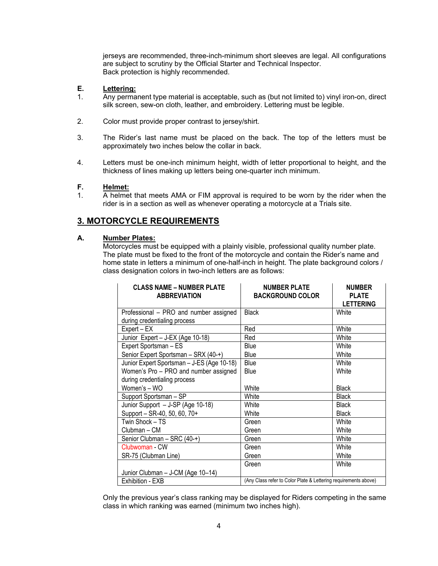jerseys are recommended, three-inch-minimum short sleeves are legal. All configurations are subject to scrutiny by the Official Starter and Technical Inspector. Back protection is highly recommended.

### **E. Lettering:**

- 1. Any permanent type material is acceptable, such as (but not limited to) vinyl iron-on, direct silk screen, sew-on cloth, leather, and embroidery. Lettering must be legible.
- 2. Color must provide proper contrast to jersey/shirt.
- 3. The Rider's last name must be placed on the back. The top of the letters must be approximately two inches below the collar in back.
- 4. Letters must be one-inch minimum height, width of letter proportional to height, and the thickness of lines making up letters being one-quarter inch minimum.

### **F. Helmet:**

1. A helmet that meets AMA or FIM approval is required to be worn by the rider when the rider is in a section as well as whenever operating a motorcycle at a Trials site.

## **3. MOTORCYCLE REQUIREMENTS**

#### **A. Number Plates:**

Motorcycles must be equipped with a plainly visible, professional quality number plate. The plate must be fixed to the front of the motorcycle and contain the Rider's name and home state in letters a minimum of one-half-inch in height. The plate background colors / class designation colors in two-inch letters are as follows:

| <b>CLASS NAME - NUMBER PLATE</b><br><b>ABBREVIATION</b> | <b>NUMBER PLATE</b><br><b>BACKGROUND COLOR</b>                  | <b>NUMBER</b><br><b>PLATE</b><br><b>LETTERING</b> |
|---------------------------------------------------------|-----------------------------------------------------------------|---------------------------------------------------|
| Professional - PRO and number assigned                  | <b>Black</b>                                                    | White                                             |
| during credentialing process                            |                                                                 |                                                   |
| Expert – EX                                             | Red                                                             | White                                             |
| Junior Expert - J-EX (Age 10-18)                        | Red                                                             | White                                             |
| Expert Sportsman - ES                                   | Blue                                                            | White                                             |
| Senior Expert Sportsman - SRX (40-+)                    | Blue                                                            | White                                             |
| Junior Expert Sportsman - J-ES (Age 10-18)              | <b>Blue</b>                                                     | White                                             |
| Women's Pro - PRO and number assigned                   | Blue                                                            | White                                             |
| during credentialing process                            |                                                                 |                                                   |
| Women's - WO                                            | White                                                           | <b>Black</b>                                      |
| Support Sportsman - SP                                  | White                                                           | <b>Black</b>                                      |
| Junior Support - J-SP (Age 10-18)                       | White                                                           | <b>Black</b>                                      |
| Support - SR-40, 50, 60, 70+                            | White                                                           | <b>Black</b>                                      |
| Twin Shock - TS                                         | Green                                                           | White                                             |
| Clubman - CM                                            | Green                                                           | White                                             |
| Senior Clubman - SRC (40-+)                             | Green                                                           | White                                             |
| Clubwoman - CW                                          | Green                                                           | White                                             |
| SR-75 (Clubman Line)                                    | Green                                                           | White                                             |
|                                                         | Green                                                           | White                                             |
| Junior Clubman - J-CM (Age 10-14)                       |                                                                 |                                                   |
| Exhibition - EXB                                        | (Any Class refer to Color Plate & Lettering requirements above) |                                                   |

 Only the previous year's class ranking may be displayed for Riders competing in the same class in which ranking was earned (minimum two inches high).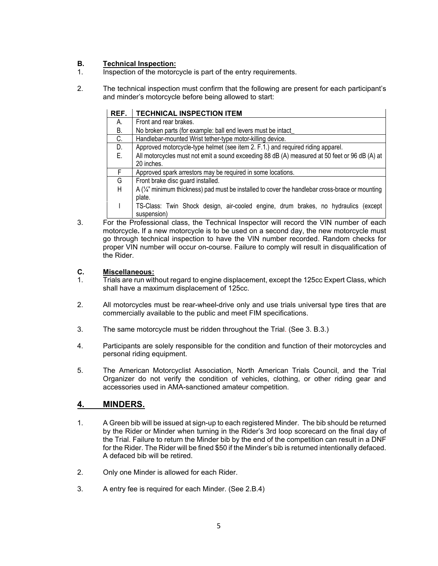## **B. Technical Inspection:**

- 1. Inspection of the motorcycle is part of the entry requirements.
- 2. The technical inspection must confirm that the following are present for each participant's and minder's motorcycle before being allowed to start:

| REF. | <b>TECHNICAL INSPECTION ITEM</b>                                                                            |  |  |  |  |  |
|------|-------------------------------------------------------------------------------------------------------------|--|--|--|--|--|
| А.   | Front and rear brakes.                                                                                      |  |  |  |  |  |
| В.   | No broken parts (for example: ball end levers must be intact                                                |  |  |  |  |  |
| C.   | Handlebar-mounted Wrist tether-type motor-killing device.                                                   |  |  |  |  |  |
| D.   | Approved motorcycle-type helmet (see item 2. F.1.) and required riding apparel.                             |  |  |  |  |  |
| Е.   | All motorcycles must not emit a sound exceeding 88 dB (A) measured at 50 feet or 96 dB (A) at               |  |  |  |  |  |
|      | 20 inches.                                                                                                  |  |  |  |  |  |
| F.   | Approved spark arrestors may be required in some locations.                                                 |  |  |  |  |  |
| G    | Front brake disc guard installed.                                                                           |  |  |  |  |  |
| H.   | A $(\frac{1}{4})$ " minimum thickness) pad must be installed to cover the handlebar cross-brace or mounting |  |  |  |  |  |
|      | plate.                                                                                                      |  |  |  |  |  |
|      | TS-Class: Twin Shock design, air-cooled engine, drum brakes, no hydraulics (except                          |  |  |  |  |  |
|      | suspension)                                                                                                 |  |  |  |  |  |
|      | For the Professional class the Technical Inspector will record the VIN number of each                       |  |  |  |  |  |

3. For the Professional class, the Technical Inspector will record the VIN number of each motorcycle**.** If a new motorcycle is to be used on a second day, the new motorcycle must go through technical inspection to have the VIN number recorded. Random checks for proper VIN number will occur on-course. Failure to comply will result in disqualification of the Rider.

### **C. Miscellaneous:**

- 1. Trials are run without regard to engine displacement, except the 125cc Expert Class, which shall have a maximum displacement of 125cc.
- 2. All motorcycles must be rear-wheel-drive only and use trials universal type tires that are commercially available to the public and meet FIM specifications.
- 3. The same motorcycle must be ridden throughout the Trial. (See 3. B.3.)
- 4. Participants are solely responsible for the condition and function of their motorcycles and personal riding equipment.
- 5. The American Motorcyclist Association, North American Trials Council, and the Trial Organizer do not verify the condition of vehicles, clothing, or other riding gear and accessories used in AMA-sanctioned amateur competition.

# **4. MINDERS.**

- 1. A Green bib will be issued at sign-up to each registered Minder. The bib should be returned by the Rider or Minder when turning in the Rider's 3rd loop scorecard on the final day of the Trial. Failure to return the Minder bib by the end of the competition can result in a DNF for the Rider. The Rider will be fined \$50 if the Minder's bib is returned intentionally defaced. A defaced bib will be retired.
- 2. Only one Minder is allowed for each Rider.
- 3. A entry fee is required for each Minder. (See 2.B.4)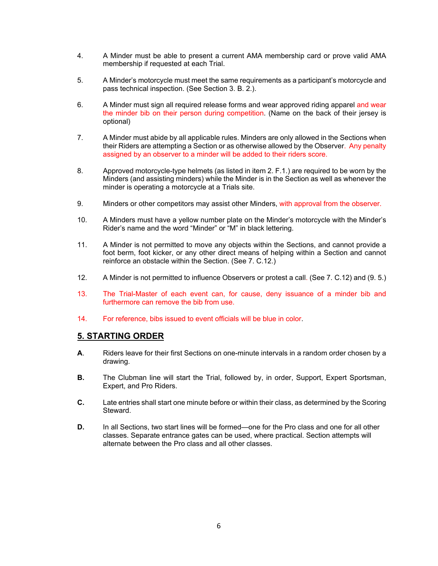- 4. A Minder must be able to present a current AMA membership card or prove valid AMA membership if requested at each Trial.
- 5. A Minder's motorcycle must meet the same requirements as a participant's motorcycle and pass technical inspection. (See Section 3. B. 2.).
- 6. A Minder must sign all required release forms and wear approved riding apparel and wear the minder bib on their person during competition. (Name on the back of their jersey is optional)
- 7. A Minder must abide by all applicable rules. Minders are only allowed in the Sections when their Riders are attempting a Section or as otherwise allowed by the Observer. Any penalty assigned by an observer to a minder will be added to their riders score.
- 8. Approved motorcycle-type helmets (as listed in item 2. F.1.) are required to be worn by the Minders (and assisting minders) while the Minder is in the Section as well as whenever the minder is operating a motorcycle at a Trials site.
- 9. Minders or other competitors may assist other Minders, with approval from the observer.
- 10. A Minders must have a yellow number plate on the Minder's motorcycle with the Minder's Rider's name and the word "Minder" or "M" in black lettering.
- 11. A Minder is not permitted to move any objects within the Sections, and cannot provide a foot berm, foot kicker, or any other direct means of helping within a Section and cannot reinforce an obstacle within the Section. (See 7. C.12.)
- 12. A Minder is not permitted to influence Observers or protest a call. (See 7. C.12) and (9. 5.)
- 13. The Trial-Master of each event can, for cause, deny issuance of a minder bib and furthermore can remove the bib from use.
- 14. For reference, bibs issued to event officials will be blue in color.

## **5. STARTING ORDER**

- **A**. Riders leave for their first Sections on one-minute intervals in a random order chosen by a drawing.
- **B.** The Clubman line will start the Trial, followed by, in order, Support, Expert Sportsman, Expert, and Pro Riders.
- **C.** Late entries shall start one minute before or within their class, as determined by the Scoring Steward.
- **D.** In all Sections, two start lines will be formed—one for the Pro class and one for all other classes. Separate entrance gates can be used, where practical. Section attempts will alternate between the Pro class and all other classes.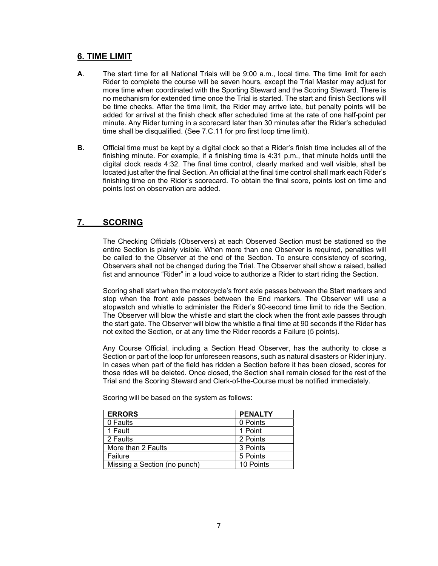## **6. TIME LIMIT**

- **A**. The start time for all National Trials will be 9:00 a.m., local time. The time limit for each Rider to complete the course will be seven hours, except the Trial Master may adjust for more time when coordinated with the Sporting Steward and the Scoring Steward. There is no mechanism for extended time once the Trial is started. The start and finish Sections will be time checks. After the time limit, the Rider may arrive late, but penalty points will be added for arrival at the finish check after scheduled time at the rate of one half-point per minute. Any Rider turning in a scorecard later than 30 minutes after the Rider's scheduled time shall be disqualified. (See 7.C.11 for pro first loop time limit).
- **B.** Official time must be kept by a digital clock so that a Rider's finish time includes all of the finishing minute. For example, if a finishing time is 4:31 p.m., that minute holds until the digital clock reads 4:32. The final time control, clearly marked and well visible, shall be located just after the final Section. An official at the final time control shall mark each Rider's finishing time on the Rider's scorecard. To obtain the final score, points lost on time and points lost on observation are added.

## **7. SCORING**

The Checking Officials (Observers) at each Observed Section must be stationed so the entire Section is plainly visible. When more than one Observer is required, penalties will be called to the Observer at the end of the Section. To ensure consistency of scoring, Observers shall not be changed during the Trial. The Observer shall show a raised, balled fist and announce "Rider" in a loud voice to authorize a Rider to start riding the Section.

Scoring shall start when the motorcycle's front axle passes between the Start markers and stop when the front axle passes between the End markers. The Observer will use a stopwatch and whistle to administer the Rider's 90-second time limit to ride the Section. The Observer will blow the whistle and start the clock when the front axle passes through the start gate. The Observer will blow the whistle a final time at 90 seconds if the Rider has not exited the Section, or at any time the Rider records a Failure (5 points).

Any Course Official, including a Section Head Observer, has the authority to close a Section or part of the loop for unforeseen reasons, such as natural disasters or Rider injury. In cases when part of the field has ridden a Section before it has been closed, scores for those rides will be deleted. Once closed, the Section shall remain closed for the rest of the Trial and the Scoring Steward and Clerk-of-the-Course must be notified immediately.

| <b>ERRORS</b>                | <b>PENALTY</b> |
|------------------------------|----------------|
| 0 Faults                     | 0 Points       |
| 1 Fault                      | 1 Point        |
| 2 Faults                     | 2 Points       |
| More than 2 Faults           | 3 Points       |
| Failure                      | 5 Points       |
| Missing a Section (no punch) | 10 Points      |

Scoring will be based on the system as follows: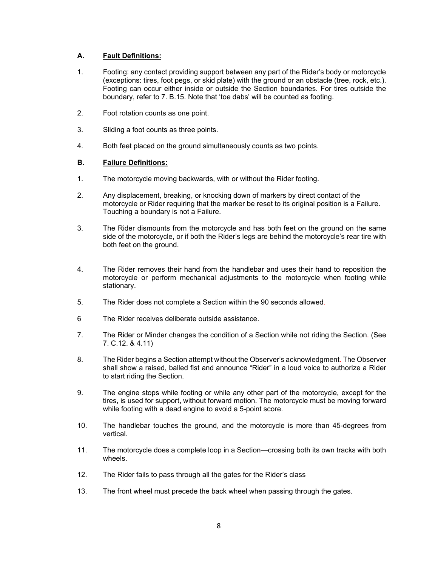### **A. Fault Definitions:**

- 1. Footing: any contact providing support between any part of the Rider's body or motorcycle (exceptions: tires, foot pegs, or skid plate) with the ground or an obstacle (tree, rock, etc.). Footing can occur either inside or outside the Section boundaries. For tires outside the boundary, refer to 7. B.15. Note that 'toe dabs' will be counted as footing.
- 2. Foot rotation counts as one point.
- 3. Sliding a foot counts as three points.
- 4. Both feet placed on the ground simultaneously counts as two points.

### **B. Failure Definitions:**

- 1. The motorcycle moving backwards, with or without the Rider footing.
- 2. Any displacement, breaking, or knocking down of markers by direct contact of the motorcycle or Rider requiring that the marker be reset to its original position is a Failure. Touching a boundary is not a Failure.
- 3. The Rider dismounts from the motorcycle and has both feet on the ground on the same side of the motorcycle, or if both the Rider's legs are behind the motorcycle's rear tire with both feet on the ground.
- 4. The Rider removes their hand from the handlebar and uses their hand to reposition the motorcycle or perform mechanical adjustments to the motorcycle when footing while stationary.
- 5. The Rider does not complete a Section within the 90 seconds allowed.
- 6 The Rider receives deliberate outside assistance.
- 7. The Rider or Minder changes the condition of a Section while not riding the Section. (See 7. C.12. & 4.11)
- 8. The Rider begins a Section attempt without the Observer's acknowledgment. The Observer shall show a raised, balled fist and announce "Rider" in a loud voice to authorize a Rider to start riding the Section.
- 9. The engine stops while footing or while any other part of the motorcycle, except for the tires, is used for support**,** without forward motion. The motorcycle must be moving forward while footing with a dead engine to avoid a 5-point score.
- 10. The handlebar touches the ground, and the motorcycle is more than 45-degrees from vertical.
- 11. The motorcycle does a complete loop in a Section—crossing both its own tracks with both wheels.
- 12. The Rider fails to pass through all the gates for the Rider's class
- 13. The front wheel must precede the back wheel when passing through the gates.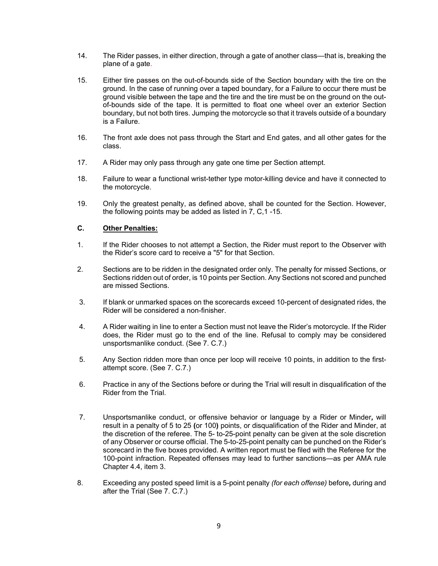- 14. The Rider passes, in either direction, through a gate of another class—that is, breaking the plane of a gate.
- 15. Either tire passes on the out-of-bounds side of the Section boundary with the tire on the ground. In the case of running over a taped boundary, for a Failure to occur there must be ground visible between the tape and the tire and the tire must be on the ground on the outof-bounds side of the tape. It is permitted to float one wheel over an exterior Section boundary, but not both tires. Jumping the motorcycle so that it travels outside of a boundary is a Failure.
- 16. The front axle does not pass through the Start and End gates, and all other gates for the class.
- 17. A Rider may only pass through any gate one time per Section attempt.
- 18. Failure to wear a functional wrist-tether type motor-killing device and have it connected to the motorcycle.
- 19. Only the greatest penalty, as defined above, shall be counted for the Section. However, the following points may be added as listed in 7, C,1 -15.

### **C. Other Penalties:**

- 1. If the Rider chooses to not attempt a Section, the Rider must report to the Observer with the Rider's score card to receive a "5" for that Section.
- 2. Sections are to be ridden in the designated order only. The penalty for missed Sections, or Sections ridden out of order, is 10 points per Section. Any Sections not scored and punched are missed Sections.
- 3. If blank or unmarked spaces on the scorecards exceed 10-percent of designated rides, the Rider will be considered a non-finisher.
- 4. A Rider waiting in line to enter a Section must not leave the Rider's motorcycle. If the Rider does, the Rider must go to the end of the line. Refusal to comply may be considered unsportsmanlike conduct. (See 7. C.7.)
- 5. Any Section ridden more than once per loop will receive 10 points, in addition to the firstattempt score. (See 7. C.7.)
- 6. Practice in any of the Sections before or during the Trial will result in disqualification of the Rider from the Trial.
- 7. Unsportsmanlike conduct, or offensive behavior or language by a Rider or Minder*,* will result in a penalty of 5 to 25 **(**or 100**)** points, or disqualification of the Rider and Minder, at the discretion of the referee. The 5- to-25-point penalty can be given at the sole discretion of any Observer or course official. The 5-to-25-point penalty can be punched on the Rider's scorecard in the five boxes provided. A written report must be filed with the Referee for the 100-point infraction. Repeated offenses may lead to further sanctions—as per AMA rule Chapter 4.4, item 3.
- 8. Exceeding any posted speed limit is a 5-point penalty *(for each offense)* before*,* during and after the Trial (See 7. C.7.)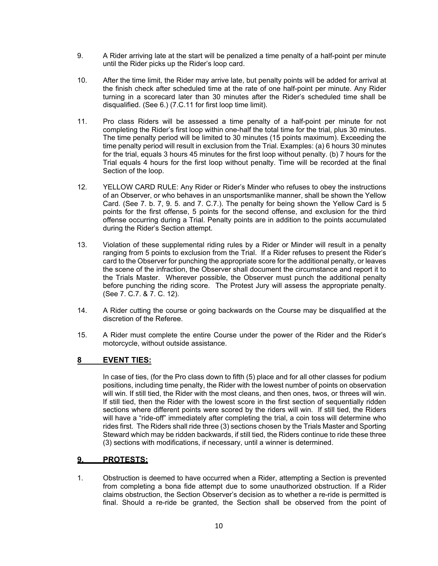- 9. A Rider arriving late at the start will be penalized a time penalty of a half-point per minute until the Rider picks up the Rider's loop card.
- 10. After the time limit, the Rider may arrive late, but penalty points will be added for arrival at the finish check after scheduled time at the rate of one half-point per minute. Any Rider turning in a scorecard later than 30 minutes after the Rider's scheduled time shall be disqualified. (See 6.) (7.C.11 for first loop time limit).
- 11. Pro class Riders will be assessed a time penalty of a half-point per minute for not completing the Rider's first loop within one-half the total time for the trial, plus 30 minutes. The time penalty period will be limited to 30 minutes (15 points maximum). Exceeding the time penalty period will result in exclusion from the Trial. Examples: (a) 6 hours 30 minutes for the trial, equals 3 hours 45 minutes for the first loop without penalty. (b) 7 hours for the Trial equals 4 hours for the first loop without penalty. Time will be recorded at the final Section of the loop.
- 12. YELLOW CARD RULE: Any Rider or Rider's Minder who refuses to obey the instructions of an Observer, or who behaves in an unsportsmanlike manner, shall be shown the Yellow Card. (See 7. b. 7, 9. 5. and 7. C.7.). The penalty for being shown the Yellow Card is 5 points for the first offense, 5 points for the second offense, and exclusion for the third offense occurring during a Trial. Penalty points are in addition to the points accumulated during the Rider's Section attempt.
- 13. Violation of these supplemental riding rules by a Rider or Minder will result in a penalty ranging from 5 points to exclusion from the Trial. If a Rider refuses to present the Rider's card to the Observer for punching the appropriate score for the additional penalty, or leaves the scene of the infraction, the Observer shall document the circumstance and report it to the Trials Master. Wherever possible, the Observer must punch the additional penalty before punching the riding score. The Protest Jury will assess the appropriate penalty. (See 7. C.7. & 7. C. 12).
- 14. A Rider cutting the course or going backwards on the Course may be disqualified at the discretion of the Referee.
- 15. A Rider must complete the entire Course under the power of the Rider and the Rider's motorcycle, without outside assistance.

### **8 EVENT TIES:**

In case of ties, (for the Pro class down to fifth (5) place and for all other classes for podium positions, including time penalty, the Rider with the lowest number of points on observation will win. If still tied, the Rider with the most cleans, and then ones, twos, or threes will win. If still tied, then the Rider with the lowest score in the first section of sequentially ridden sections where different points were scored by the riders will win. If still tied, the Riders will have a "ride-off" immediately after completing the trial, a coin toss will determine who rides first. The Riders shall ride three (3) sections chosen by the Trials Master and Sporting Steward which may be ridden backwards, if still tied, the Riders continue to ride these three (3) sections with modifications, if necessary, until a winner is determined.

## **9. PROTESTS:**

1. Obstruction is deemed to have occurred when a Rider, attempting a Section is prevented from completing a bona fide attempt due to some unauthorized obstruction. If a Rider claims obstruction, the Section Observer's decision as to whether a re-ride is permitted is final. Should a re-ride be granted, the Section shall be observed from the point of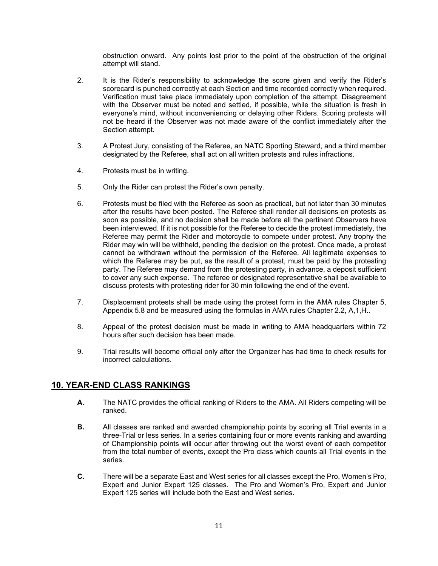obstruction onward. Any points lost prior to the point of the obstruction of the original attempt will stand.

- 2. It is the Rider's responsibility to acknowledge the score given and verify the Rider's scorecard is punched correctly at each Section and time recorded correctly when required. Verification must take place immediately upon completion of the attempt. Disagreement with the Observer must be noted and settled, if possible, while the situation is fresh in everyone's mind, without inconveniencing or delaying other Riders. Scoring protests will not be heard if the Observer was not made aware of the conflict immediately after the Section attempt.
- 3. A Protest Jury, consisting of the Referee, an NATC Sporting Steward, and a third member designated by the Referee, shall act on all written protests and rules infractions.
- 4. Protests must be in writing.
- 5. Only the Rider can protest the Rider's own penalty.
- 6. Protests must be filed with the Referee as soon as practical, but not later than 30 minutes after the results have been posted. The Referee shall render all decisions on protests as soon as possible, and no decision shall be made before all the pertinent Observers have been interviewed. If it is not possible for the Referee to decide the protest immediately, the Referee may permit the Rider and motorcycle to compete under protest. Any trophy the Rider may win will be withheld, pending the decision on the protest. Once made, a protest cannot be withdrawn without the permission of the Referee. All legitimate expenses to which the Referee may be put, as the result of a protest, must be paid by the protesting party. The Referee may demand from the protesting party, in advance, a deposit sufficient to cover any such expense. The referee or designated representative shall be available to discuss protests with protesting rider for 30 min following the end of the event.
- 7. Displacement protests shall be made using the protest form in the AMA rules Chapter 5, Appendix 5.8 and be measured using the formulas in AMA rules Chapter 2.2, A,1,H..
- 8. Appeal of the protest decision must be made in writing to AMA headquarters within 72 hours after such decision has been made.
- 9. Trial results will become official only after the Organizer has had time to check results for incorrect calculations.

## **10. YEAR-END CLASS RANKINGS**

- **A**. The NATC provides the official ranking of Riders to the AMA. All Riders competing will be ranked.
- **B.** All classes are ranked and awarded championship points by scoring all Trial events in a three-Trial or less series. In a series containing four or more events ranking and awarding of Championship points will occur after throwing out the worst event of each competitor from the total number of events, except the Pro class which counts all Trial events in the series.
- **C.** There will be a separate East and West series for all classes except the Pro, Women's Pro, Expert and Junior Expert 125 classes. The Pro and Women's Pro, Expert and Junior Expert 125 series will include both the East and West series.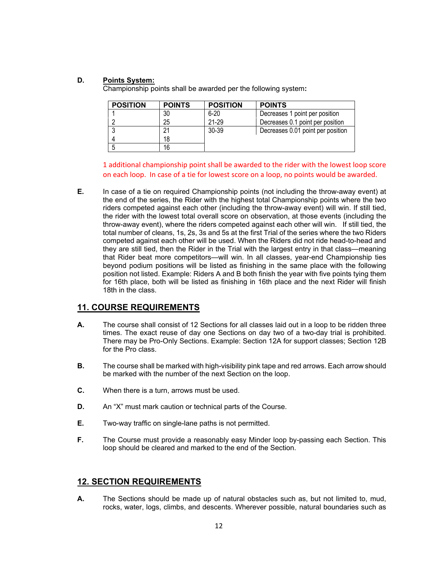## **D. Points System:**

Championship points shall be awarded per the following system**:** 

| <b>POSITION</b> | <b>POINTS</b> | <b>POSITION</b> | <b>POINTS</b>                     |
|-----------------|---------------|-----------------|-----------------------------------|
|                 | 30            | $6 - 20$        | Decreases 1 point per position    |
| റ               | 25            | 21-29           | Decreases 0.1 point per position  |
| 3               | 21            | 30-39           | Decreases 0.01 point per position |
| 4               | 18            |                 |                                   |
| 5               | 16            |                 |                                   |

1 additional championship point shall be awarded to the rider with the lowest loop score on each loop. In case of a tie for lowest score on a loop, no points would be awarded.

**E.** In case of a tie on required Championship points (not including the throw-away event) at the end of the series, the Rider with the highest total Championship points where the two riders competed against each other (including the throw-away event) will win. If still tied, the rider with the lowest total overall score on observation, at those events (including the throw-away event), where the riders competed against each other will win. If still tied, the total number of cleans, 1s, 2s, 3s and 5s at the first Trial of the series where the two Riders competed against each other will be used. When the Riders did not ride head-to-head and they are still tied, then the Rider in the Trial with the largest entry in that class—meaning that Rider beat more competitors—will win. In all classes, year-end Championship ties beyond podium positions will be listed as finishing in the same place with the following position not listed. Example: Riders A and B both finish the year with five points tying them for 16th place, both will be listed as finishing in 16th place and the next Rider will finish 18th in the class.

## **11. COURSE REQUIREMENTS**

- **A.** The course shall consist of 12 Sections for all classes laid out in a loop to be ridden three times. The exact reuse of day one Sections on day two of a two-day trial is prohibited. There may be Pro-Only Sections. Example: Section 12A for support classes; Section 12B for the Pro class.
- **B.** The course shall be marked with high-visibility pink tape and red arrows. Each arrow should be marked with the number of the next Section on the loop.
- **C.** When there is a turn, arrows must be used.
- **D.** An "X" must mark caution or technical parts of the Course.
- **E.** Two-way traffic on single-lane paths is not permitted.
- **F.** The Course must provide a reasonably easy Minder loop by-passing each Section. This loop should be cleared and marked to the end of the Section.

## **12. SECTION REQUIREMENTS**

**A.** The Sections should be made up of natural obstacles such as, but not limited to, mud, rocks, water, logs, climbs, and descents. Wherever possible, natural boundaries such as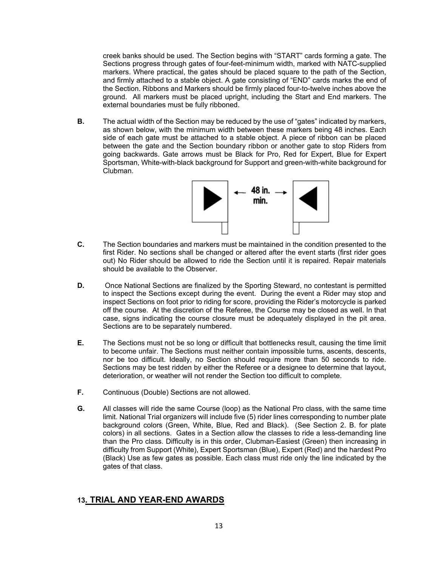creek banks should be used. The Section begins with "START" cards forming a gate. The Sections progress through gates of four-feet-minimum width, marked with NATC-supplied markers. Where practical, the gates should be placed square to the path of the Section, and firmly attached to a stable object. A gate consisting of "END" cards marks the end of the Section. Ribbons and Markers should be firmly placed four-to-twelve inches above the ground. All markers must be placed upright, including the Start and End markers. The external boundaries must be fully ribboned.

**B.** The actual width of the Section may be reduced by the use of "gates" indicated by markers, as shown below, with the minimum width between these markers being 48 inches. Each side of each gate must be attached to a stable object. A piece of ribbon can be placed between the gate and the Section boundary ribbon or another gate to stop Riders from going backwards. Gate arrows must be Black for Pro, Red for Expert, Blue for Expert Sportsman, White-with-black background for Support and green-with-white background for Clubman.



- $\mathbf{C}$ **C.** The Section boundaries and markers must be maintained in the condition presented to the first Rider. No sections shall be changed or altered after the event starts (first rider goes out) No Rider should be allowed to ride the Section until it is repaired. Repair materials should be available to the Observer.
- **D.** Once National Sections are finalized by the Sporting Steward, no contestant is permitted to inspect the Sections except during the event. During the event a Rider may stop and inspect Sections on foot prior to riding for score, providing the Rider's motorcycle is parked off the course. At the discretion of the Referee, the Course may be closed as well. In that case, signs indicating the course closure must be adequately displayed in the pit area. Sections are to be separately numbered.
- **E.** The Sections must not be so long or difficult that bottlenecks result, causing the time limit to become unfair. The Sections must neither contain impossible turns, ascents, descents, nor be too difficult. Ideally, no Section should require more than 50 seconds to ride. Sections may be test ridden by either the Referee or a designee to determine that layout, deterioration, or weather will not render the Section too difficult to complete.
- **F.** Continuous (Double) Sections are not allowed.
- **G.** All classes will ride the same Course (loop) as the National Pro class, with the same time limit. National Trial organizers will include five (5) rider lines corresponding to number plate background colors (Green, White, Blue, Red and Black). (See Section 2. B. for plate colors) in all sections. Gates in a Section allow the classes to ride a less-demanding line than the Pro class. Difficulty is in this order, Clubman-Easiest (Green) then increasing in difficulty from Support (White), Expert Sportsman (Blue), Expert (Red) and the hardest Pro (Black) Use as few gates as possible. Each class must ride only the line indicated by the gates of that class.

## **13. TRIAL AND YEAR-END AWARDS**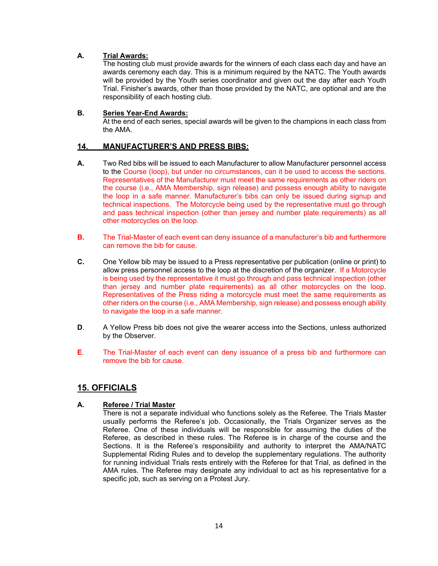### **A. Trial Awards:**

The hosting club must provide awards for the winners of each class each day and have an awards ceremony each day. This is a minimum required by the NATC. The Youth awards will be provided by the Youth series coordinator and given out the day after each Youth Trial. Finisher's awards, other than those provided by the NATC, are optional and are the responsibility of each hosting club.

#### **B. Series Year-End Awards:**  At the end of each series, special awards will be given to the champions in each class from the AMA.

## **14. MANUFACTURER'S AND PRESS BIBS:**

- **A***.* Two Red bibs will be issued to each Manufacturer to allow Manufacturer personnel access to the Course (loop), but under no circumstances, can it be used to access the sections. Representatives of the Manufacturer must meet the same requirements as other riders on the course (i.e., AMA Membership, sign release) and possess enough ability to navigate the loop in a safe manner. Manufacturer's bibs can only be issued during signup and technical inspections. The Motorcycle being used by the representative must go through and pass technical inspection (other than jersey and number plate requirements) as all other motorcycles on the loop.
- **B.** The Trial-Master of each event can deny issuance of a manufacturer's bib and furthermore can remove the bib for cause.
- **C.** One Yellow bib may be issued to a Press representative per publication (online or print) to allow press personnel access to the loop at the discretion of the organizer. If a Motorcycle is being used by the representative it must go through and pass technical inspection (other than jersey and number plate requirements) as all other motorcycles on the loop. Representatives of the Press riding a motorcycle must meet the same requirements as other riders on the course (i.e., AMA Membership, sign release) and possess enough ability to navigate the loop in a safe manner.
- **D**. A Yellow Press bib does not give the wearer access into the Sections, unless authorized by the Observer.
- **E**. The Trial-Master of each event can deny issuance of a press bib and furthermore can remove the bib for cause.

## **15. OFFICIALS**

### **A. Referee / Trial Master**

 There is not a separate individual who functions solely as the Referee. The Trials Master usually performs the Referee's job. Occasionally, the Trials Organizer serves as the Referee. One of these individuals will be responsible for assuming the duties of the Referee, as described in these rules. The Referee is in charge of the course and the Sections. It is the Referee's responsibility and authority to interpret the AMA/NATC Supplemental Riding Rules and to develop the supplementary regulations. The authority for running individual Trials rests entirely with the Referee for that Trial, as defined in the AMA rules. The Referee may designate any individual to act as his representative for a specific job, such as serving on a Protest Jury.